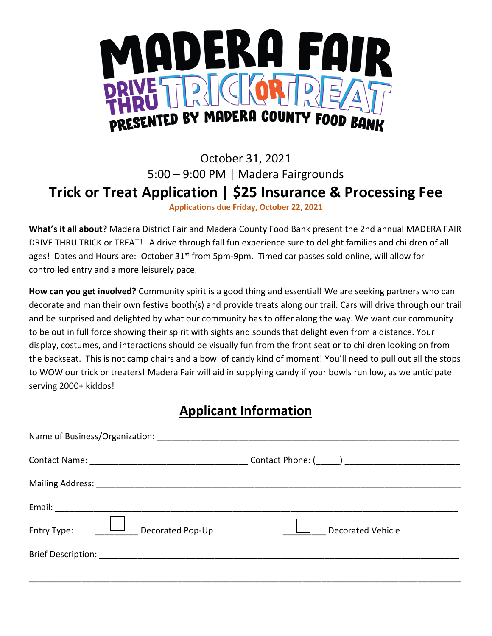

## October 31, 2021 5:00 – 9:00 PM | Madera Fairgrounds **Trick or Treat Application | \$25 Insurance & Processing Fee Applications due Friday, October 22, 2021**

**What's it all about?** Madera District Fair and Madera County Food Bank present the 2nd annual MADERA FAIR DRIVE THRU TRICK or TREAT! A drive through fall fun experience sure to delight families and children of all ages! Dates and Hours are: October 31<sup>st</sup> from 5pm-9pm. Timed car passes sold online, will allow for controlled entry and a more leisurely pace.

**How can you get involved?** Community spirit is a good thing and essential! We are seeking partners who can decorate and man their own festive booth(s) and provide treats along our trail. Cars will drive through our trail and be surprised and delighted by what our community has to offer along the way. We want our community to be out in full force showing their spirit with sights and sounds that delight even from a distance. Your display, costumes, and interactions should be visually fun from the front seat or to children looking on from the backseat. This is not camp chairs and a bowl of candy kind of moment! You'll need to pull out all the stops to WOW our trick or treaters! Madera Fair will aid in supplying candy if your bowls run low, as we anticipate serving 2000+ kiddos!

## **Applicant Information**

| ىغا ب<br>Entry Type:<br>Decorated Pop-Up | <b>Decorated Vehicle</b> |
|------------------------------------------|--------------------------|
|                                          |                          |
|                                          |                          |